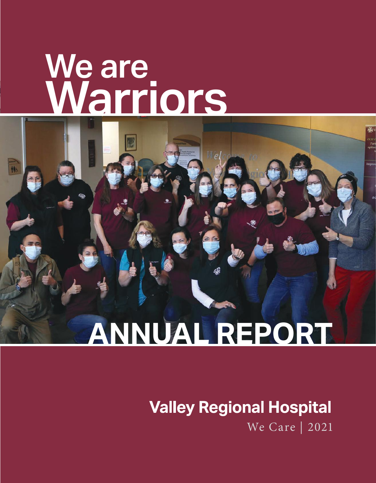# **We are Warriors**



# **Valley Regional Hospital** We Care | 2021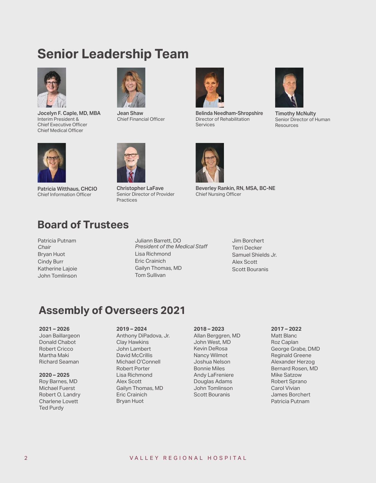# **Senior Leadership Team**



**Jocelyn F. Caple, MD, MBA** Interim President & Chief Executive Officer Chief Medical Officer



**Jean Shaw** Chief Financial Officer



**Belinda Needham-Shropshire** Director of Rehabilitation Services



**Timothy McNulty** Senior Director of Human **Resources** 



**Patricia Witthaus, CHCIO** Chief Information Officer



**Christopher LaFave** Senior Director of Provider Practices

**Beverley Rankin, RN, MSA, BC-NE** Chief Nursing Officer

### **Board of Trustees**

Patricia Putnam *Chair* Bryan Huot Cindy Burr Katherine Lajoie John Tomlinson

Juliann Barrett, DO *President of the Medical Staff*  Lisa Richmond Eric Crainich Gailyn Thomas, MD Tom Sullivan

Jim Borchert Terri Decker Samuel Shields Jr. Alex Scott Scott Bouranis

### **Assembly of Overseers 2021**

#### **2021 – 2026**

Joan Baillargeon Donald Chabot Robert Cricco Martha Maki Richard Seaman

#### **2020 – 2025** Roy Barnes, MD

Michael Fuerst Robert O. Landry Charlene Lovett Ted Purdy

#### **2019 – 2024**

Anthony DiPadova, Jr. Clay Hawkins John Lambert David McCrillis Michael O'Connell Robert Porter Lisa Richmond Alex Scott Gailyn Thomas, MD Eric Crainich Bryan Huot

#### **2018 – 2023**

Allan Berggren, MD John West, MD Kevin DeRosa Nancy Wilmot Joshua Nelson Bonnie Miles Andy LaFreniere Douglas Adams John Tomlinson Scott Bouranis

#### **2017 – 2022**

Matt Blanc Roz Caplan George Grabe, DMD Reginald Greene Alexander Herzog Bernard Rosen, MD Mike Satzow Robert Sprano Carol Vivian James Borchert Patricia Putnam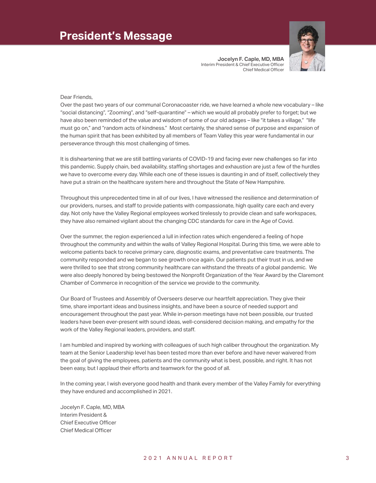

**Jocelyn F. Caple, MD, MBA**  Interim President & Chief Executive Officer Chief Medical Officer

#### Dear Friends,

Over the past two years of our communal Coronacoaster ride, we have learned a whole new vocabulary – like "social distancing", "Zooming", and "self-quarantine" – which we would all probably prefer to forget; but we have also been reminded of the value and wisdom of some of our old adages – like "it takes a village," "life must go on," and "random acts of kindness." Most certainly, the shared sense of purpose and expansion of the human spirit that has been exhibited by all members of Team Valley this year were fundamental in our perseverance through this most challenging of times.

It is disheartening that we are still battling variants of COVID-19 and facing ever new challenges so far into this pandemic. Supply chain, bed availability, staffing shortages and exhaustion are just a few of the hurdles we have to overcome every day. While each one of these issues is daunting in and of itself, collectively they have put a strain on the healthcare system here and throughout the State of New Hampshire.

Throughout this unprecedented time in all of our lives, I have witnessed the resilience and determination of our providers, nurses, and staff to provide patients with compassionate, high quality care each and every day. Not only have the Valley Regional employees worked tirelessly to provide clean and safe workspaces, they have also remained vigilant about the changing CDC standards for care in the Age of Covid.

Over the summer, the region experienced a lull in infection rates which engendered a feeling of hope throughout the community and within the walls of Valley Regional Hospital. During this time, we were able to welcome patients back to receive primary care, diagnostic exams, and preventative care treatments. The community responded and we began to see growth once again. Our patients put their trust in us, and we were thrilled to see that strong community healthcare can withstand the threats of a global pandemic. We were also deeply honored by being bestowed the Nonprofit Organization of the Year Award by the Claremont Chamber of Commerce in recognition of the service we provide to the community.

Our Board of Trustees and Assembly of Overseers deserve our heartfelt appreciation. They give their time, share important ideas and business insights, and have been a source of needed support and encouragement throughout the past year. While in-person meetings have not been possible, our trusted leaders have been ever-present with sound ideas, well-considered decision making, and empathy for the work of the Valley Regional leaders, providers, and staff.

I am humbled and inspired by working with colleagues of such high caliber throughout the organization. My team at the Senior Leadership level has been tested more than ever before and have never waivered from the goal of giving the employees, patients and the community what is best, possible, and right. It has not been easy, but I applaud their efforts and teamwork for the good of all.

In the coming year, I wish everyone good health and thank every member of the Valley Family for everything they have endured and accomplished in 2021.

Jocelyn F. Caple, MD, MBA Interim President & Chief Executive Officer Chief Medical Officer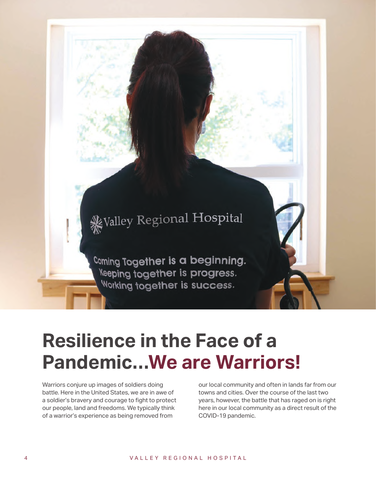# Walley Regional Hospital

Coming Together is a beginning. **Keeping together is progress.** Working together is success.

# **Resilience in the Face of a Pandemic…We are Warriors!**

Warriors conjure up images of soldiers doing battle. Here in the United States, we are in awe of a soldier's bravery and courage to fight to protect our people, land and freedoms. We typically think of a warrior's experience as being removed from

our local community and often in lands far from our towns and cities. Over the course of the last two years, however, the battle that has raged on is right here in our local community as a direct result of the COVID-19 pandemic.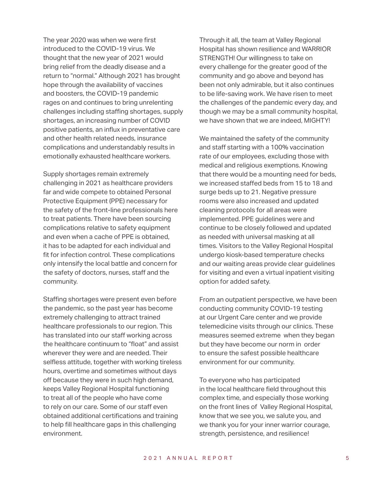The year 2020 was when we were first introduced to the COVID-19 virus. We thought that the new year of 2021 would bring relief from the deadly disease and a return to "normal." Although 2021 has brought hope through the availability of vaccines and boosters, the COVID-19 pandemic rages on and continues to bring unrelenting challenges including staffing shortages, supply shortages, an increasing number of COVID positive patients, an influx in preventative care and other health related needs, insurance complications and understandably results in emotionally exhausted healthcare workers.

Supply shortages remain extremely challenging in 2021 as healthcare providers far and wide compete to obtained Personal Protective Equipment (PPE) necessary for the safety of the front-line professionals here to treat patients. There have been sourcing complications relative to safety equipment and even when a cache of PPE is obtained, it has to be adapted for each individual and fit for infection control. These complications only intensify the local battle and concern for the safety of doctors, nurses, staff and the community.

Staffing shortages were present even before the pandemic, so the past year has become extremely challenging to attract trained healthcare professionals to our region. This has translated into our staff working across the healthcare continuum to "float" and assist wherever they were and are needed. Their selfless attitude, together with working tireless hours, overtime and sometimes without days off because they were in such high demand, keeps Valley Regional Hospital functioning to treat all of the people who have come to rely on our care. Some of our staff even obtained additional certifications and training to help fill healthcare gaps in this challenging environment.

Through it all, the team at Valley Regional Hospital has shown resilience and WARRIOR STRENGTH! Our willingness to take on every challenge for the greater good of the community and go above and beyond has been not only admirable, but it also continues to be life-saving work. We have risen to meet the challenges of the pandemic every day, and though we may be a small community hospital, we have shown that we are indeed, MIGHTY!

We maintained the safety of the community and staff starting with a 100% vaccination rate of our employees, excluding those with medical and religious exemptions. Knowing that there would be a mounting need for beds, we increased staffed beds from 15 to 18 and surge beds up to 21. Negative pressure rooms were also increased and updated cleaning protocols for all areas were implemented. PPE guidelines were and continue to be closely followed and updated as needed with universal masking at all times. Visitors to the Valley Regional Hospital undergo kiosk-based temperature checks and our waiting areas provide clear guidelines for visiting and even a virtual inpatient visiting option for added safety.

From an outpatient perspective, we have been conducting community COVID-19 testing at our Urgent Care center and we provide telemedicine visits through our clinics. These measures seemed extreme when they began but they have become our norm in order to ensure the safest possible healthcare environment for our community.

To everyone who has participated in the local healthcare field throughout this complex time, and especially those working on the front lines of Valley Regional Hospital, know that we see you, we salute you, and we thank you for your inner warrior courage, strength, persistence, and resilience!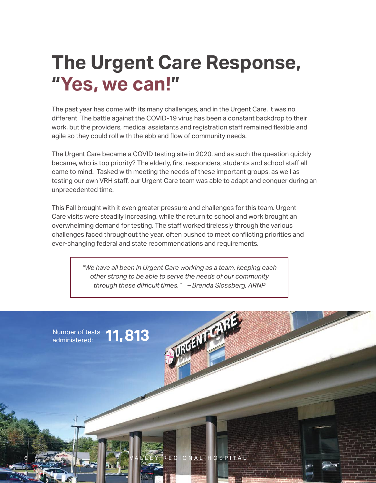# **The Urgent Care Response, "Yes, we can!"**

The past year has come with its many challenges, and in the Urgent Care, it was no different. The battle against the COVID-19 virus has been a constant backdrop to their work, but the providers, medical assistants and registration staff remained flexible and agile so they could roll with the ebb and flow of community needs.

The Urgent Care became a COVID testing site in 2020, and as such the question quickly became, who is top priority? The elderly, first responders, students and school staff all came to mind. Tasked with meeting the needs of these important groups, as well as testing our own VRH staff, our Urgent Care team was able to adapt and conquer during an unprecedented time.

This Fall brought with it even greater pressure and challenges for this team. Urgent Care visits were steadily increasing, while the return to school and work brought an overwhelming demand for testing. The staff worked tirelessly through the various challenges faced throughout the year, often pushed to meet conflicting priorities and ever-changing federal and state recommendations and requirements.

> *"We have all been in Urgent Care working as a team, keeping each other strong to be able to serve the needs of our community through these difficult times." – Brenda Slossberg, ARNP*

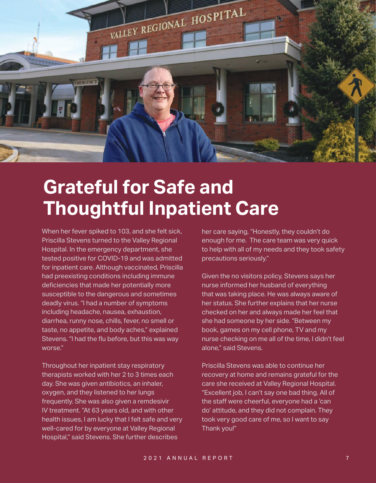

# **Grateful for Safe and Thoughtful Inpatient Care**

When her fever spiked to 103, and she felt sick, Priscilla Stevens turned to the Valley Regional Hospital. In the emergency department, she tested positive for COVID-19 and was admitted for inpatient care. Although vaccinated, Priscilla had preexisting conditions including immune deficiencies that made her potentially more susceptible to the dangerous and sometimes deadly virus. "I had a number of symptoms including headache, nausea, exhaustion, diarrhea, runny nose, chills, fever, no smell or taste, no appetite, and body aches," explained Stevens. "I had the flu before, but this was way worse."

Throughout her inpatient stay respiratory therapists worked with her 2 to 3 times each day. She was given antibiotics, an inhaler, oxygen, and they listened to her lungs frequently. She was also given a remdesivir IV treatment. "At 63 years old, and with other health issues, I am lucky that I felt safe and very well-cared for by everyone at Valley Regional Hospital," said Stevens. She further describes

her care saying, "Honestly, they couldn't do enough for me. The care team was very quick to help with all of my needs and they took safety precautions seriously."

Given the no visitors policy, Stevens says her nurse informed her husband of everything that was taking place. He was always aware of her status. She further explains that her nurse checked on her and always made her feel that she had someone by her side. "Between my book, games on my cell phone, TV and my nurse checking on me all of the time, I didn't feel alone," said Stevens.

Priscilla Stevens was able to continue her recovery at home and remains grateful for the care she received at Valley Regional Hospital. "Excellent job, I can't say one bad thing. All of the staff were cheerful, everyone had a 'can do' attitude, and they did not complain. They took very good care of me, so I want to say Thank you!"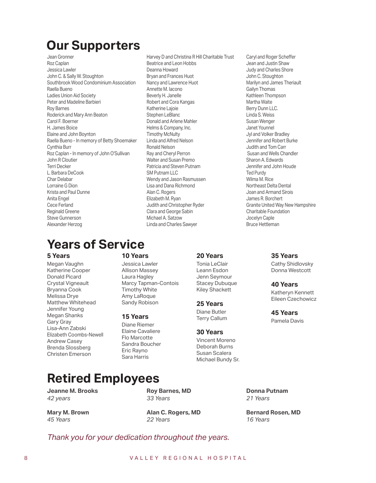## **Our Supporters**

Jean Gronner Roz Caplan Jessica Lawler John C. & Sally W. Stoughton Southbrook Wood Condominium Association Raella Bueno Ladies Union Aid Society Peter and Madeline Barbieri Roy Barnes Roderick and Mary Ann Beaton Carol F. Boerner H. James Boice Elaine and John Boynton Raella Bueno - In memory of Betty Shoemaker Cynthia Burr Roz Caplan - In memory of John O'Sullivan John R Cloutier Terri Decker L. Barbara DeCook Char Delabar Lorraine G Dion Krista and Paul Dunne Anita Engel Cece Ferland Reginald Greene Steve Gunnerson Alexander Herzog

Harvey D and Christina R Hill Charitable Trust Beatrice and Leon Hobbs Deanna Howard Bryan and Frances Huot Nancy and Lawrence Huot Annette M. Iacono Beverly H. Janelle Robert and Cora Kangas Katherine Lajoie Stephen LeBlanc Donald and Arlene Mahler Helms & Company, Inc. Timothy McNulty Linda and Alfred Nelson Ronald Nelson Ray and Cheryl Perron Walter and Susan Premo Patricia and Steven Putnam SM Putnam LLC Wendy and Jason Rasmussen Lisa and Dana Richmond Alan C. Rogers Elizabeth M. Ryan Judith and Christopher Ryder Clara and George Sabin Michael A. Satzow Linda and Charles Sawyer

#### Caryl and Roger Scheffer Jean and Justin Shaw Judy and Charles Shore John C. Stoughton Marilyn and James Theriault Gailyn Thomas Kathleen Thompson Martha Waite Berry Dunn LLC. Linda S. Weiss Susan Wenger Janet Younnel Jyl and Volker Bradley Jennifer and Robert Burke Judith and Tom Carr Susan and Wells Chandler Sharon A. Edwards Jennifer and John Houde Ted Purdy Wilma M. Rice Northeast Delta Dental Joan and Armand Sirois James R. Borchert Granite United Way New Hampshire Charitable Foundation Jocelyn Caple Bruce Hettleman

**35 Years** Cathy Shidlovsky Donna Westcott

**40 Years** Katheryn Kennett Eileen Czechowicz

**45 Years** Pamela Davis

# **Years of Service**

#### **5 Years**

Megan Vaughn Katherine Cooper Donald Picard Crystal Vigneault Bryanna Cook Melissa Drye Matthew Whitehead Jennifer Young Megan Shanks Gary Gray Lisa-Ann Zabski Elizabeth Coombs-Newell Andrew Casey Brenda Slossberg Christen Emerson

#### **10 Years**

Jessica Lawler Allison Massey Laura Hagley Marcy Tapman-Contois Timothy White Amy LaRoque Sandy Robison

#### **15 Years**

Diane Riemer Elaine Cavaliere Flo Marcotte Sandra Boucher Eric Rayno Sara Harris

#### **20 Years**

Tonia LeClair Leann Esdon Jenn Seymour Stacey Dubuque Kiley Shackett

#### **25 Years**

Diane Butler Terry Callum

#### **30 Years**

Vincent Moreno Deborah Burns Susan Scalera Michael Bundy Sr.

> **Donna Putnam**  *21 Years*

**Bernard Rosen, MD**  *16 Years* 

## **Retired Employees**

**Jeanne M. Brooks**  *42 years* 

**Roy Barnes, MD**  *33 Years*

**Mary M. Brown**  *45 Years* 

**Alan C. Rogers, MD**  *22 Years*

#### *Thank you for your dedication throughout the years.*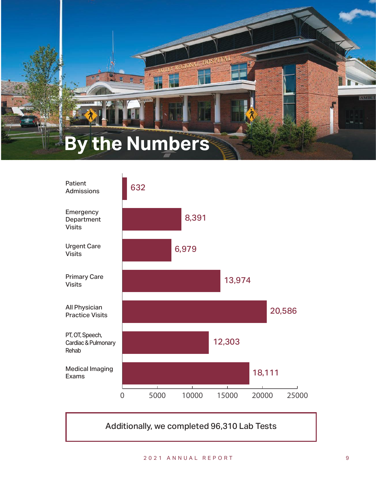# **By the Numbers**



Additionally, we completed 96,310 Lab Tests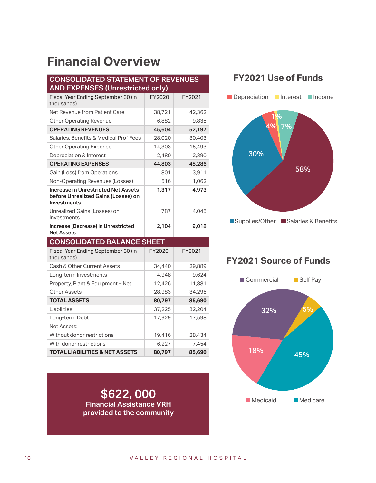# **Financial Overview**

#### **CONSOLIDATED STATEMENT OF REVENUES AND EXPENSES (Unrestricted only)**

| Fiscal Year Ending September 30 (in<br>thousands)                                                       | FY2020 | FY2021 |
|---------------------------------------------------------------------------------------------------------|--------|--------|
| Net Revenue from Patient Care                                                                           | 38,721 | 42,362 |
| <b>Other Operating Revenue</b>                                                                          | 6,882  | 9,835  |
| <b>OPERATING REVENUES</b>                                                                               | 45,604 | 52,197 |
| Salaries, Benefits & Medical Prof Fees                                                                  | 28,020 | 30,403 |
| <b>Other Operating Expense</b>                                                                          | 14,303 | 15,493 |
| Depreciation & Interest                                                                                 | 2,480  | 2,390  |
| <b>OPERATING EXPENSES</b>                                                                               | 44,803 | 48,286 |
| Gain (Loss) from Operations                                                                             | 801    | 3,911  |
| Non-Operating Revenues (Losses)                                                                         | 516    | 1,062  |
| <b>Increase in Unrestricted Net Assets</b><br>before Unrealized Gains (Losses) on<br><b>Investments</b> | 1,317  | 4,973  |
| Unrealized Gains (Losses) on<br>Investments                                                             | 787    | 4,045  |
|                                                                                                         |        |        |
| Increase (Decrease) in Unrestricted<br><b>Net Assets</b>                                                | 2,104  | 9,018  |
| <b>CONSOLIDATED BALANCE SHEET</b>                                                                       |        |        |
| Fiscal Year Ending September 30 (in<br>thousands)                                                       | FY2020 | FY2021 |
| Cash & Other Current Assets                                                                             | 34,440 | 29,889 |
| Long-term Investments                                                                                   | 4,948  | 9,624  |
| Property, Plant & Equipment - Net                                                                       | 12,426 | 11,881 |
| <b>Other Assets</b>                                                                                     | 28,983 | 34,296 |
| <b>TOTAL ASSETS</b>                                                                                     | 80,797 | 85,690 |
| Liabilities                                                                                             | 37,225 | 32,204 |
| Long-term Debt                                                                                          | 17,929 | 17,598 |
| <b>Net Assets:</b>                                                                                      |        |        |
| Without donor restrictions                                                                              | 19,416 | 28,434 |
| With donor restrictions                                                                                 | 6,227  | 7,454  |

**\$622, 000 Financial Assistance VRH provided to the community**

### **FY2021 Use of Funds**



### **FY2021 Source of Funds**

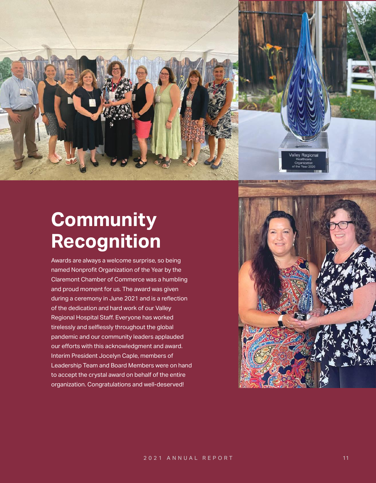

# **Community Recognition**

Awards are always a welcome surprise, so being named Nonprofit Organization of the Year by the Claremont Chamber of Commerce was a humbling and proud moment for us. The award was given during a ceremony in June 2021 and is a reflection of the dedication and hard work of our Valley Regional Hospital Staff. Everyone has worked tirelessly and selflessly throughout the global pandemic and our community leaders applauded our efforts with this acknowledgment and award. Interim President Jocelyn Caple, members of Leadership Team and Board Members were on hand to accept the crystal award on behalf of the entire organization. Congratulations and well-deserved!